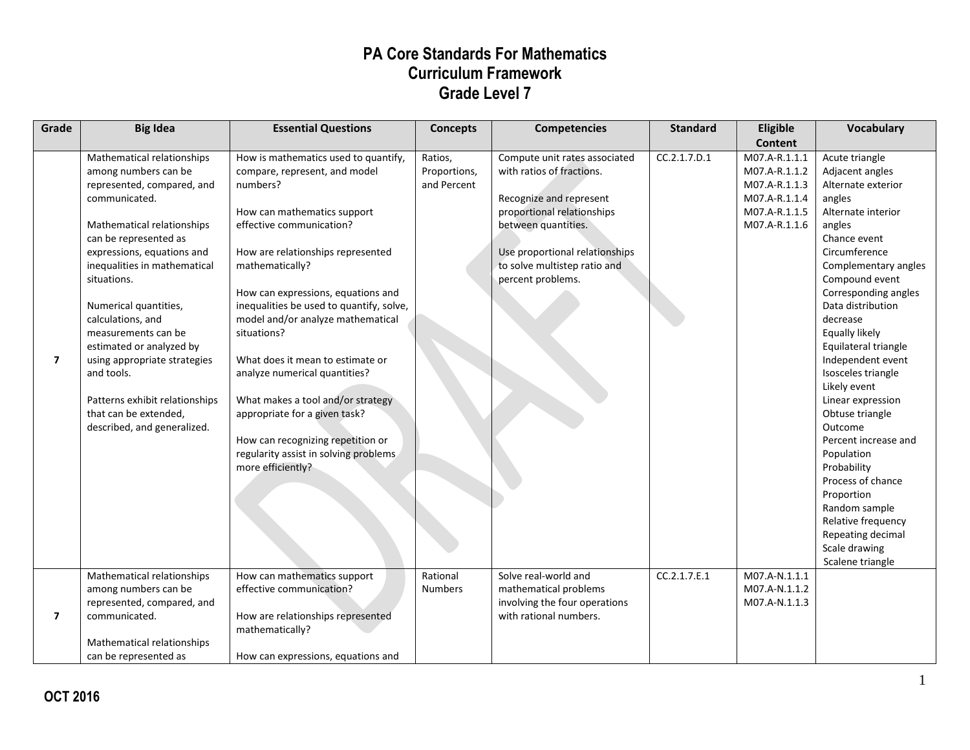| Grade          | <b>Big Idea</b>                                                                                                                                                                                                                                                                                                                                                                                                                                                                | <b>Essential Questions</b>                                                                                                                                                                                                                                                                                                                                                                                                                                                                                                                                                               | <b>Concepts</b>                        | <b>Competencies</b>                                                                                                                                                                                                               | <b>Standard</b> | Eligible<br><b>Content</b>                                                                         | <b>Vocabulary</b>                                                                                                                                                                                                                                                                                                                                                                                                                                                                                                                                                                      |
|----------------|--------------------------------------------------------------------------------------------------------------------------------------------------------------------------------------------------------------------------------------------------------------------------------------------------------------------------------------------------------------------------------------------------------------------------------------------------------------------------------|------------------------------------------------------------------------------------------------------------------------------------------------------------------------------------------------------------------------------------------------------------------------------------------------------------------------------------------------------------------------------------------------------------------------------------------------------------------------------------------------------------------------------------------------------------------------------------------|----------------------------------------|-----------------------------------------------------------------------------------------------------------------------------------------------------------------------------------------------------------------------------------|-----------------|----------------------------------------------------------------------------------------------------|----------------------------------------------------------------------------------------------------------------------------------------------------------------------------------------------------------------------------------------------------------------------------------------------------------------------------------------------------------------------------------------------------------------------------------------------------------------------------------------------------------------------------------------------------------------------------------------|
| $\overline{ }$ | Mathematical relationships<br>among numbers can be<br>represented, compared, and<br>communicated.<br>Mathematical relationships<br>can be represented as<br>expressions, equations and<br>inequalities in mathematical<br>situations.<br>Numerical quantities,<br>calculations, and<br>measurements can be<br>estimated or analyzed by<br>using appropriate strategies<br>and tools.<br>Patterns exhibit relationships<br>that can be extended,<br>described, and generalized. | How is mathematics used to quantify,<br>compare, represent, and model<br>numbers?<br>How can mathematics support<br>effective communication?<br>How are relationships represented<br>mathematically?<br>How can expressions, equations and<br>inequalities be used to quantify, solve,<br>model and/or analyze mathematical<br>situations?<br>What does it mean to estimate or<br>analyze numerical quantities?<br>What makes a tool and/or strategy<br>appropriate for a given task?<br>How can recognizing repetition or<br>regularity assist in solving problems<br>more efficiently? | Ratios,<br>Proportions,<br>and Percent | Compute unit rates associated<br>with ratios of fractions.<br>Recognize and represent<br>proportional relationships<br>between quantities.<br>Use proportional relationships<br>to solve multistep ratio and<br>percent problems. | CC.2.1.7.D.1    | M07.A-R.1.1.1<br>M07.A-R.1.1.2<br>M07.A-R.1.1.3<br>M07.A-R.1.1.4<br>M07.A-R.1.1.5<br>M07.A-R.1.1.6 | Acute triangle<br>Adjacent angles<br>Alternate exterior<br>angles<br>Alternate interior<br>angles<br>Chance event<br>Circumference<br>Complementary angles<br>Compound event<br>Corresponding angles<br>Data distribution<br>decrease<br>Equally likely<br>Equilateral triangle<br>Independent event<br>Isosceles triangle<br>Likely event<br>Linear expression<br>Obtuse triangle<br>Outcome<br>Percent increase and<br>Population<br>Probability<br>Process of chance<br>Proportion<br>Random sample<br>Relative frequency<br>Repeating decimal<br>Scale drawing<br>Scalene triangle |
| $\overline{ }$ | Mathematical relationships<br>among numbers can be<br>represented, compared, and<br>communicated.<br>Mathematical relationships<br>can be represented as                                                                                                                                                                                                                                                                                                                       | How can mathematics support<br>effective communication?<br>How are relationships represented<br>mathematically?<br>How can expressions, equations and                                                                                                                                                                                                                                                                                                                                                                                                                                    | Rational<br><b>Numbers</b>             | Solve real-world and<br>mathematical problems<br>involving the four operations<br>with rational numbers.                                                                                                                          | CC.2.1.7.E.1    | M07.A-N.1.1.1<br>M07.A-N.1.1.2<br>M07.A-N.1.1.3                                                    |                                                                                                                                                                                                                                                                                                                                                                                                                                                                                                                                                                                        |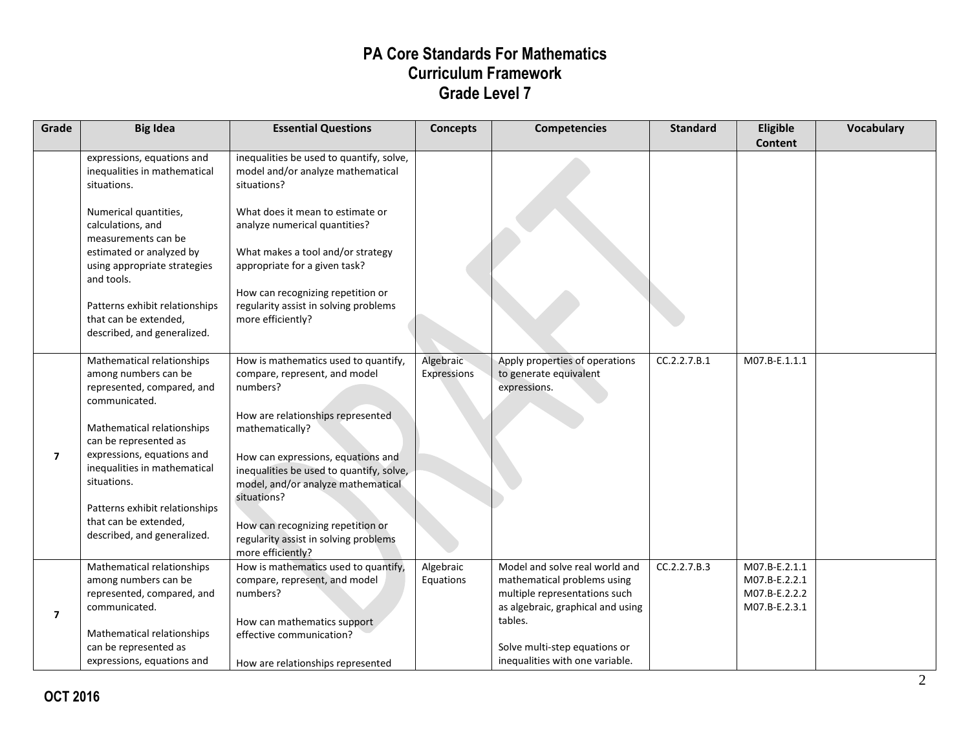| CC.2.2.7.B.1<br>Apply properties of operations                                | M07.B-E.1.1.1                  |               |
|-------------------------------------------------------------------------------|--------------------------------|---------------|
|                                                                               |                                |               |
|                                                                               |                                |               |
|                                                                               |                                |               |
| CC.2.2.7.B.3<br>Model and solve real world and<br>mathematical problems using | M07.B-E.2.1.1<br>M07.B-E.2.2.1 |               |
| as algebraic, graphical and using                                             | M07.B-E.2.3.1                  |               |
|                                                                               |                                |               |
| multiple representations such<br>inequalities with one variable.              |                                | M07.B-E.2.2.2 |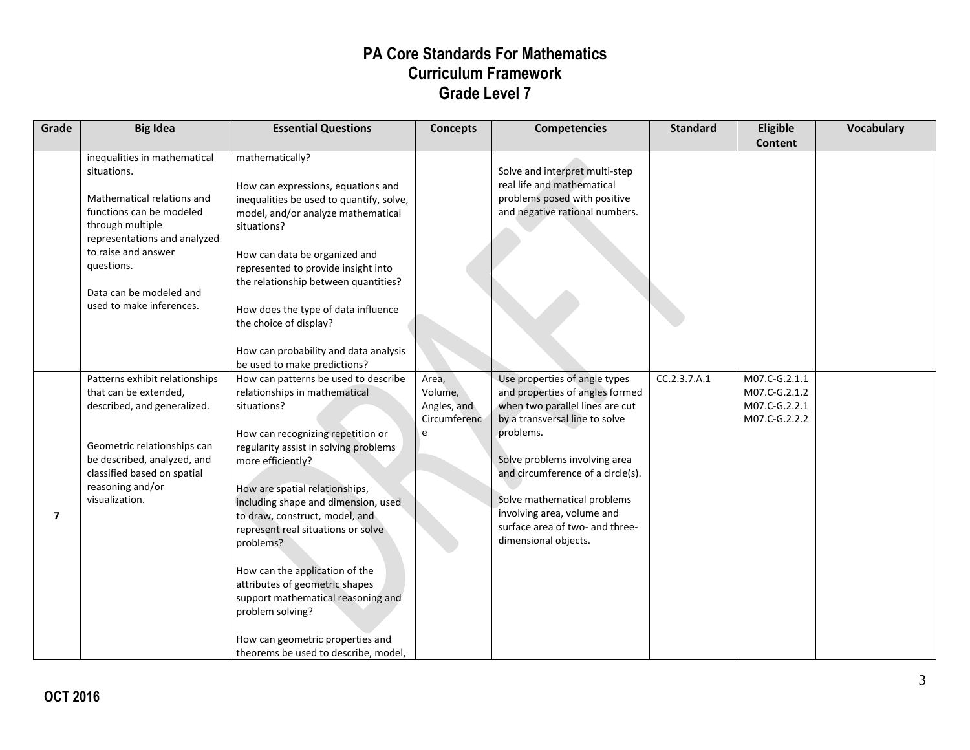| Grade          | <b>Big Idea</b>                                                                                                                                                                                                                                       | <b>Essential Questions</b>                                                                                                                                                                                                                                                                                                                                                                                                                                                                                                                                      | <b>Concepts</b>                                      | <b>Competencies</b>                                                                                                                                                                                                                                                                                                                              | <b>Standard</b> | Eligible<br><b>Content</b>                                       | <b>Vocabulary</b> |
|----------------|-------------------------------------------------------------------------------------------------------------------------------------------------------------------------------------------------------------------------------------------------------|-----------------------------------------------------------------------------------------------------------------------------------------------------------------------------------------------------------------------------------------------------------------------------------------------------------------------------------------------------------------------------------------------------------------------------------------------------------------------------------------------------------------------------------------------------------------|------------------------------------------------------|--------------------------------------------------------------------------------------------------------------------------------------------------------------------------------------------------------------------------------------------------------------------------------------------------------------------------------------------------|-----------------|------------------------------------------------------------------|-------------------|
|                | inequalities in mathematical<br>situations.<br>Mathematical relations and<br>functions can be modeled<br>through multiple<br>representations and analyzed<br>to raise and answer<br>questions.<br>Data can be modeled and<br>used to make inferences. | mathematically?<br>How can expressions, equations and<br>inequalities be used to quantify, solve,<br>model, and/or analyze mathematical<br>situations?<br>How can data be organized and<br>represented to provide insight into<br>the relationship between quantities?<br>How does the type of data influence<br>the choice of display?<br>How can probability and data analysis<br>be used to make predictions?                                                                                                                                                |                                                      | Solve and interpret multi-step<br>real life and mathematical<br>problems posed with positive<br>and negative rational numbers.                                                                                                                                                                                                                   |                 |                                                                  |                   |
| $\overline{7}$ | Patterns exhibit relationships<br>that can be extended,<br>described, and generalized.<br>Geometric relationships can<br>be described, analyzed, and<br>classified based on spatial<br>reasoning and/or<br>visualization.                             | How can patterns be used to describe<br>relationships in mathematical<br>situations?<br>How can recognizing repetition or<br>regularity assist in solving problems<br>more efficiently?<br>How are spatial relationships,<br>including shape and dimension, used<br>to draw, construct, model, and<br>represent real situations or solve<br>problems?<br>How can the application of the<br>attributes of geometric shapes<br>support mathematical reasoning and<br>problem solving?<br>How can geometric properties and<br>theorems be used to describe, model, | Area,<br>Volume,<br>Angles, and<br>Circumferenc<br>e | Use properties of angle types<br>and properties of angles formed<br>when two parallel lines are cut<br>by a transversal line to solve<br>problems.<br>Solve problems involving area<br>and circumference of a circle(s).<br>Solve mathematical problems<br>involving area, volume and<br>surface area of two- and three-<br>dimensional objects. | CC.2.3.7.A.1    | M07.C-G.2.1.1<br>M07.C-G.2.1.2<br>M07.C-G.2.2.1<br>M07.C-G.2.2.2 |                   |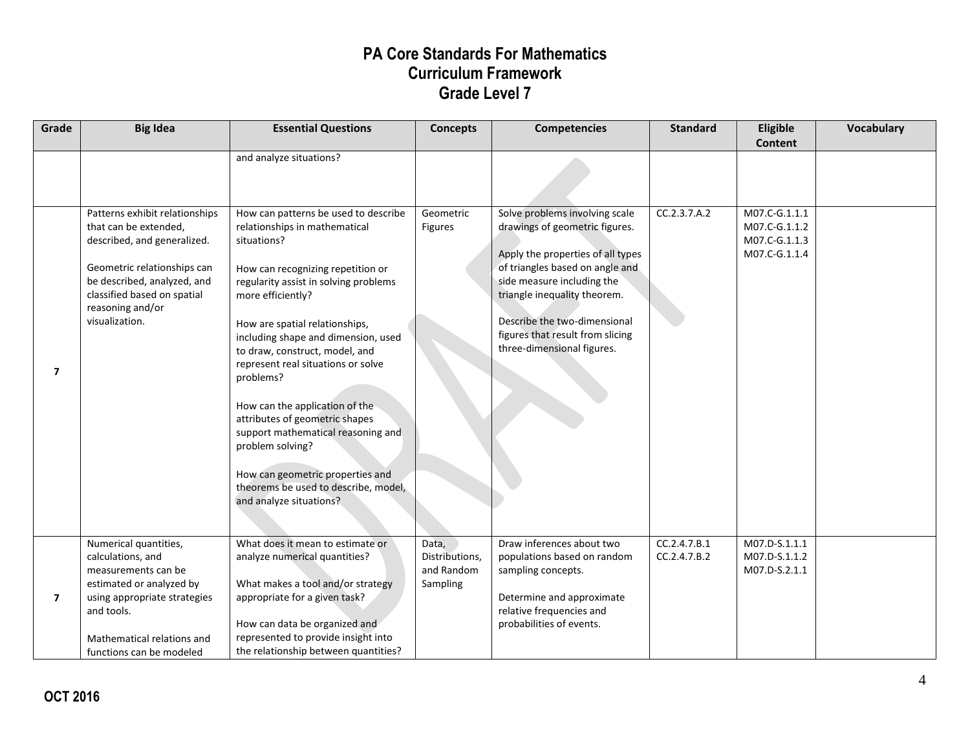| Grade | <b>Big Idea</b>                                                                                                                                                                                                           | <b>Essential Questions</b>                                                                                                                                                                                                                                                                                                                                                                                                                                                                                                                                                                 | <b>Concepts</b>                                   | <b>Competencies</b>                                                                                                                                                                                                                                                                                      | <b>Standard</b>              | Eligible<br><b>Content</b>                                       | Vocabulary |
|-------|---------------------------------------------------------------------------------------------------------------------------------------------------------------------------------------------------------------------------|--------------------------------------------------------------------------------------------------------------------------------------------------------------------------------------------------------------------------------------------------------------------------------------------------------------------------------------------------------------------------------------------------------------------------------------------------------------------------------------------------------------------------------------------------------------------------------------------|---------------------------------------------------|----------------------------------------------------------------------------------------------------------------------------------------------------------------------------------------------------------------------------------------------------------------------------------------------------------|------------------------------|------------------------------------------------------------------|------------|
|       |                                                                                                                                                                                                                           | and analyze situations?                                                                                                                                                                                                                                                                                                                                                                                                                                                                                                                                                                    |                                                   |                                                                                                                                                                                                                                                                                                          |                              |                                                                  |            |
| 7     | Patterns exhibit relationships<br>that can be extended,<br>described, and generalized.<br>Geometric relationships can<br>be described, analyzed, and<br>classified based on spatial<br>reasoning and/or<br>visualization. | How can patterns be used to describe<br>relationships in mathematical<br>situations?<br>How can recognizing repetition or<br>regularity assist in solving problems<br>more efficiently?<br>How are spatial relationships,<br>including shape and dimension, used<br>to draw, construct, model, and<br>represent real situations or solve<br>problems?<br>How can the application of the<br>attributes of geometric shapes<br>support mathematical reasoning and<br>problem solving?<br>How can geometric properties and<br>theorems be used to describe, model,<br>and analyze situations? | Geometric<br><b>Figures</b>                       | Solve problems involving scale<br>drawings of geometric figures.<br>Apply the properties of all types<br>of triangles based on angle and<br>side measure including the<br>triangle inequality theorem.<br>Describe the two-dimensional<br>figures that result from slicing<br>three-dimensional figures. | CC.2.3.7.A.2                 | M07.C-G.1.1.1<br>M07.C-G.1.1.2<br>M07.C-G.1.1.3<br>M07.C-G.1.1.4 |            |
| 7     | Numerical quantities,<br>calculations, and<br>measurements can be<br>estimated or analyzed by<br>using appropriate strategies<br>and tools.<br>Mathematical relations and<br>functions can be modeled                     | What does it mean to estimate or<br>analyze numerical quantities?<br>What makes a tool and/or strategy<br>appropriate for a given task?<br>How can data be organized and<br>represented to provide insight into<br>the relationship between quantities?                                                                                                                                                                                                                                                                                                                                    | Data,<br>Distributions,<br>and Random<br>Sampling | Draw inferences about two<br>populations based on random<br>sampling concepts.<br>Determine and approximate<br>relative frequencies and<br>probabilities of events.                                                                                                                                      | CC.2.4.7.B.1<br>CC.2.4.7.B.2 | M07.D-S.1.1.1<br>M07.D-S.1.1.2<br>M07.D-S.2.1.1                  |            |